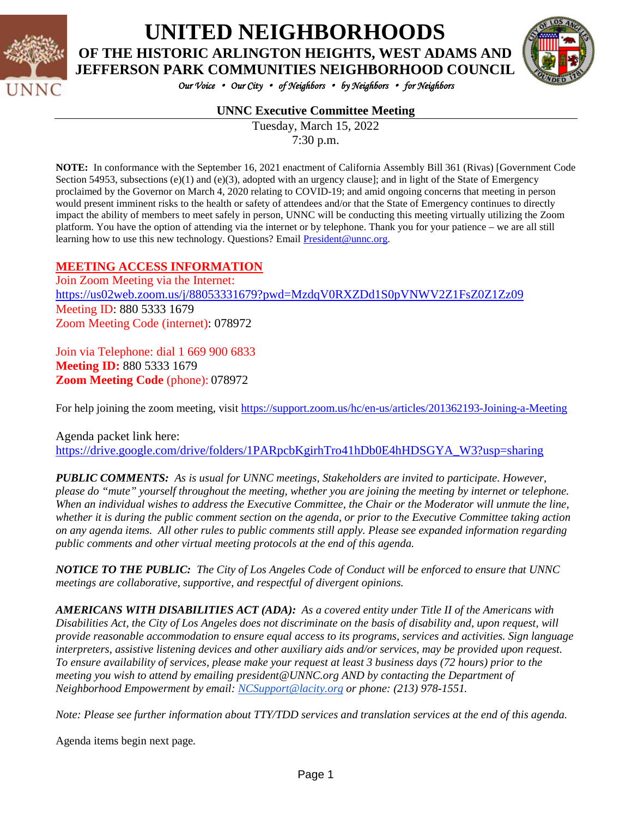

## **UNITED NEIGHBORHOODS OF THE HISTORIC ARLINGTON HEIGHTS, WEST ADAMS AND**

*Our Voice* • *Our City* • *of Neighbors* • *by Neighbors* • *for Neighbors* 

### **UNNC Executive Committee Meeting**

Tuesday, March 15, 2022 7:30 p.m.

**NOTE:** In conformance with the September 16, 2021 enactment of California Assembly Bill 361 (Rivas) [Government Code Section 54953, subsections  $(e)(1)$  and  $(e)(3)$ , adopted with an urgency clause]; and in light of the State of Emergency proclaimed by the Governor on March 4, 2020 relating to COVID-19; and amid ongoing concerns that meeting in person would present imminent risks to the health or safety of attendees and/or that the State of Emergency continues to directly impact the ability of members to meet safely in person, UNNC will be conducting this meeting virtually utilizing the Zoom platform. You have the option of attending via the internet or by telephone. Thank you for your patience – we are all still learning how to use this new technology. Questions? Email [President@unnc.org.](mailto:President@unnc.org)

#### **MEETING ACCESS INFORMATION**

Join Zoom Meeting via the Internet: <https://us02web.zoom.us/j/88053331679?pwd=MzdqV0RXZDd1S0pVNWV2Z1FsZ0Z1Zz09> Meeting **ID**: 880 5333 1679 Zoom Meeting Code (internet): 078972

Join via Telephone: dial 1 669 900 6833 **Meeting ID:** 880 5333 1679 **Zoom Meeting Code** (phone): 078972

For help joining the zoom meeting, visit<https://support.zoom.us/hc/en-us/articles/201362193-Joining-a-Meeting>

Agenda packet link here: [https://drive.google.com/drive/folders/1PARpcbKgirhTro41hDb0E4hHDSGYA\\_W3?usp=sharing](https://drive.google.com/drive/folders/1PARpcbKgirhTro41hDb0E4hHDSGYA_W3?usp=sharing)

*PUBLIC COMMENTS: As is usual for UNNC meetings, Stakeholders are invited to participate. However, please do "mute" yourself throughout the meeting, whether you are joining the meeting by internet or telephone. When an individual wishes to address the Executive Committee, the Chair or the Moderator will unmute the line, whether it is during the public comment section on the agenda, or prior to the Executive Committee taking action on any agenda items. All other rules to public comments still apply. Please see expanded information regarding public comments and other virtual meeting protocols at the end of this agenda.*

*NOTICE TO THE PUBLIC: The City of Los Angeles Code of Conduct will be enforced to ensure that UNNC meetings are collaborative, supportive, and respectful of divergent opinions.* 

*AMERICANS WITH DISABILITIES ACT (ADA): As a covered entity under Title II of the Americans with Disabilities Act, the City of Los Angeles does not discriminate on the basis of disability and, upon request, will provide reasonable accommodation to ensure equal access to its programs, services and activities. Sign language interpreters, assistive listening devices and other auxiliary aids and/or services, may be provided upon request. To ensure availability of services, please make your request at least 3 business days (72 hours) prior to the meeting you wish to attend by emailing president@UNNC.org AND by contacting the Department of Neighborhood Empowerment by email: [NCSupport@lacity.org](mailto:NCSupport@lacity.org) or phone: (213) 978-1551.* 

*Note: Please see further information about TTY/TDD services and translation services at the end of this agenda.*

Agenda items begin next page*.*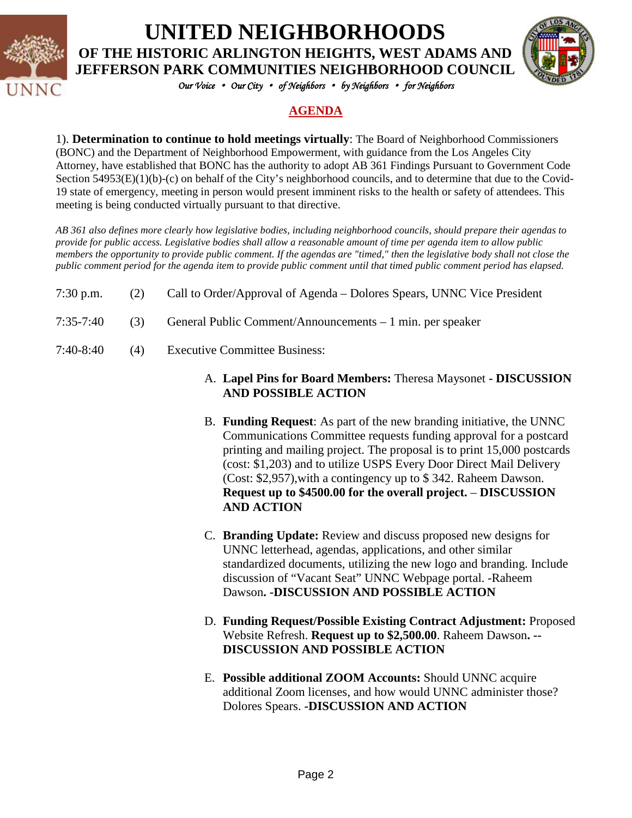

**UNITED NEIGHBORHOODS OF THE HISTORIC ARLINGTON HEIGHTS, WEST ADAMS AND** 

*Our Voice* • *Our City* • *of Neighbors* • *by Neighbors* • *for Neighbors* 

### **AGENDA**

1). **Determination to continue to hold meetings virtually**: The Board of Neighborhood Commissioners (BONC) and the Department of Neighborhood Empowerment, with guidance from the Los Angeles City Attorney, have established that BONC has the authority to adopt AB 361 Findings Pursuant to Government Code Section 54953(E)(1)(b)-(c) on behalf of the City's neighborhood councils, and to determine that due to the Covid-19 state of emergency, meeting in person would present imminent risks to the health or safety of attendees. This meeting is being conducted virtually pursuant to that directive.

*AB 361 also defines more clearly how legislative bodies, including neighborhood councils, should prepare their agendas to provide for public access. Legislative bodies shall allow a reasonable amount of time per agenda item to allow public members the opportunity to provide public comment. If the agendas are "timed," then the legislative body shall not close the public comment period for the agenda item to provide public comment until that timed public comment period has elapsed.*

- 7:30 p.m. (2) Call to Order/Approval of Agenda Dolores Spears, UNNC Vice President
- 7:35-7:40 (3) General Public Comment/Announcements 1 min. per speaker
- 7:40-8:40 (4) Executive Committee Business:

#### A. **Lapel Pins for Board Members:** Theresa Maysonet **- DISCUSSION AND POSSIBLE ACTION**

- B. **Funding Request**: As part of the new branding initiative, the UNNC Communications Committee requests funding approval for a postcard printing and mailing project. The proposal is to print 15,000 postcards (cost: \$1,203) and to utilize USPS Every Door Direct Mail Delivery (Cost: \$2,957),with a contingency up to \$ 342. Raheem Dawson. **Request up to \$4500.00 for the overall project.** – **DISCUSSION AND ACTION**
- C. **Branding Update:** Review and discuss proposed new designs for UNNC letterhead, agendas, applications, and other similar standardized documents, utilizing the new logo and branding. Include discussion of "Vacant Seat" UNNC Webpage portal. -Raheem Dawson**. -DISCUSSION AND POSSIBLE ACTION**
- D. **Funding Request/Possible Existing Contract Adjustment:** Proposed Website Refresh. **Request up to \$2,500.00**. Raheem Dawson**. -- DISCUSSION AND POSSIBLE ACTION**
- E. **Possible additional ZOOM Accounts:** Should UNNC acquire additional Zoom licenses, and how would UNNC administer those? Dolores Spears. **-DISCUSSION AND ACTION**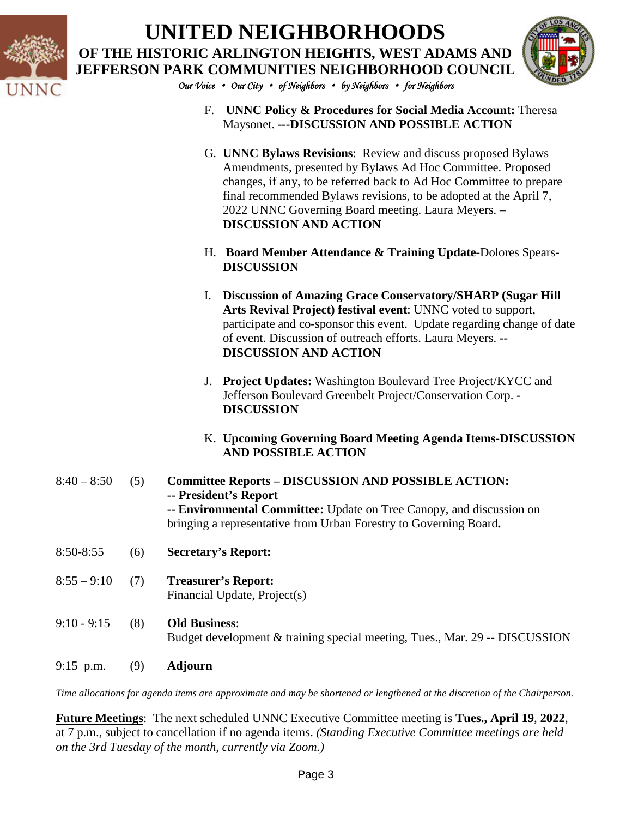

# **UNITED NEIGHBORHOODS OF THE HISTORIC ARLINGTON HEIGHTS, WEST ADAMS AND JEFFERSON PARK COMMUNITIES NEIGHBORHOOD COUNCIL**



*Our Voice* • *Our City* • *of Neighbors* • *by Neighbors* • *for Neighbors* 

- F. **UNNC Policy & Procedures for Social Media Account:** Theresa Maysonet. **---DISCUSSION AND POSSIBLE ACTION**
- G. **UNNC Bylaws Revisions**: Review and discuss proposed Bylaws Amendments, presented by Bylaws Ad Hoc Committee. Proposed changes, if any, to be referred back to Ad Hoc Committee to prepare final recommended Bylaws revisions, to be adopted at the April 7, 2022 UNNC Governing Board meeting. Laura Meyers. – **DISCUSSION AND ACTION**
- H. **Board Member Attendance & Training Update-**Dolores Spears**-DISCUSSION**
- I. **Discussion of Amazing Grace Conservatory/SHARP (Sugar Hill Arts Revival Project) festival event**: UNNC voted to support, participate and co-sponsor this event. Update regarding change of date of event. Discussion of outreach efforts. Laura Meyers. **-- DISCUSSION AND ACTION**
- J. **Project Updates:** Washington Boulevard Tree Project/KYCC and Jefferson Boulevard Greenbelt Project/Conservation Corp. **- DISCUSSION**
- K. **Upcoming Governing Board Meeting Agenda Items-DISCUSSION AND POSSIBLE ACTION**
- 8:40 8:50 (5) **Committee Reports – DISCUSSION AND POSSIBLE ACTION: -- President's Report -- Environmental Committee:** Update on Tree Canopy, and discussion on bringing a representative from Urban Forestry to Governing Board**.**
- 8:50-8:55 (6) **Secretary's Report:**
- 8:55 9:10 (7) **Treasurer's Report:** Financial Update, Project(s)
- 9:10 9:15 (8) **Old Business**: Budget development & training special meeting, Tues., Mar. 29 -- DISCUSSION
- 9:15 p.m. (9) **Adjourn**

*Time allocations for agenda items are approximate and may be shortened or lengthened at the discretion of the Chairperson.*

**Future Meetings**: The next scheduled UNNC Executive Committee meeting is **Tues., April 19**, **2022**, at 7 p.m., subject to cancellation if no agenda items. *(Standing Executive Committee meetings are held on the 3rd Tuesday of the month, currently via Zoom.)*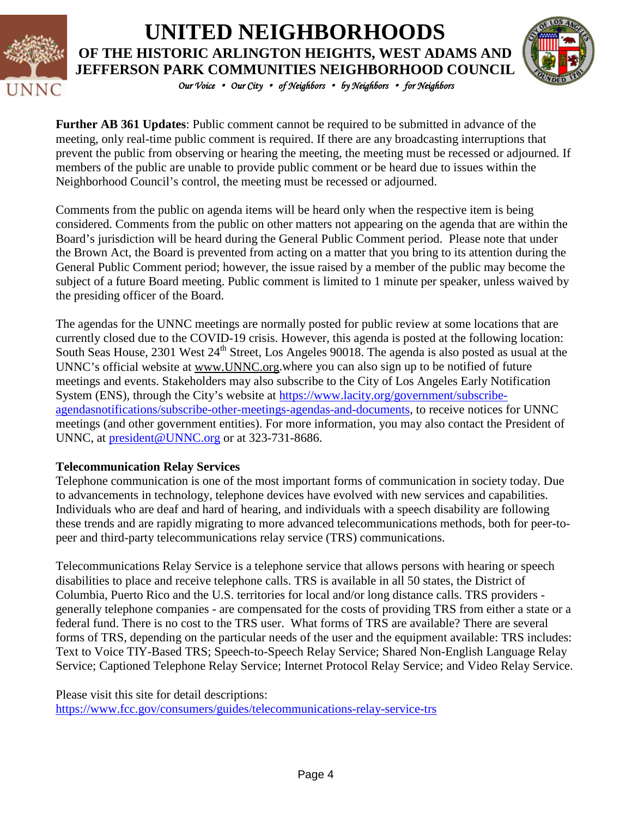

### *Our Voice* • *Our City* • *of Neighbors* • *by Neighbors* • *for Neighbors*  **UNITED NEIGHBORHOODS OF THE HISTORIC ARLINGTON HEIGHTS, WEST ADAMS AND JEFFERSON PARK COMMUNITIES NEIGHBORHOOD COUNCIL**



**Further AB 361 Updates**: Public comment cannot be required to be submitted in advance of the meeting, only real-time public comment is required. If there are any broadcasting interruptions that prevent the public from observing or hearing the meeting, the meeting must be recessed or adjourned. If members of the public are unable to provide public comment or be heard due to issues within the Neighborhood Council's control, the meeting must be recessed or adjourned.

Comments from the public on agenda items will be heard only when the respective item is being considered. Comments from the public on other matters not appearing on the agenda that are within the Board's jurisdiction will be heard during the General Public Comment period. Please note that under the Brown Act, the Board is prevented from acting on a matter that you bring to its attention during the General Public Comment period; however, the issue raised by a member of the public may become the subject of a future Board meeting. Public comment is limited to 1 minute per speaker, unless waived by the presiding officer of the Board.

The agendas for the UNNC meetings are normally posted for public review at some locations that are currently closed due to the COVID-19 crisis. However, this agenda is posted at the following location: South Seas House, 2301 West 24<sup>th</sup> Street, Los Angeles 90018. The agenda is also posted as usual at the UNNC's official website at [www.UNNC.org.](http://www.unnc.org/)where you can also sign up to be notified of future meetings and events. Stakeholders may also subscribe to the City of Los Angeles Early Notification System (ENS), through the City's website at [https://www.lacity.org/government/subscribe](https://www.lacity.org/government/subscribe-agendasnotifications/subscribe-other-meetings-agendas-and-documents)[agendasnotifications/subscribe-other-meetings-agendas-and-documents,](https://www.lacity.org/government/subscribe-agendasnotifications/subscribe-other-meetings-agendas-and-documents) to receive notices for UNNC meetings (and other government entities). For more information, you may also contact the President of UNNC, at [president@UNNC.org](mailto:president@UNNC.org) or at 323-731-8686.

### **Telecommunication Relay Services**

Telephone communication is one of the most important forms of communication in society today. Due to advancements in technology, telephone devices have evolved with new services and capabilities. Individuals who are deaf and hard of hearing, and individuals with a speech disability are following these trends and are rapidly migrating to more advanced telecommunications methods, both for peer-topeer and third-party telecommunications relay service (TRS) communications.

Telecommunications Relay Service is a telephone service that allows persons with hearing or speech disabilities to place and receive telephone calls. TRS is available in all 50 states, the District of Columbia, Puerto Rico and the U.S. territories for local and/or long distance calls. TRS providers generally telephone companies - are compensated for the costs of providing TRS from either a state or a federal fund. There is no cost to the TRS user. What forms of TRS are available? There are several forms of TRS, depending on the particular needs of the user and the equipment available: TRS includes: Text to Voice TIY-Based TRS; Speech-to-Speech Relay Service; Shared Non-English Language Relay Service; Captioned Telephone Relay Service; Internet Protocol Relay Service; and Video Relay Service.

Please visit this site for detail descriptions:

<https://www.fcc.gov/consumers/guides/telecommunications-relay-service-trs>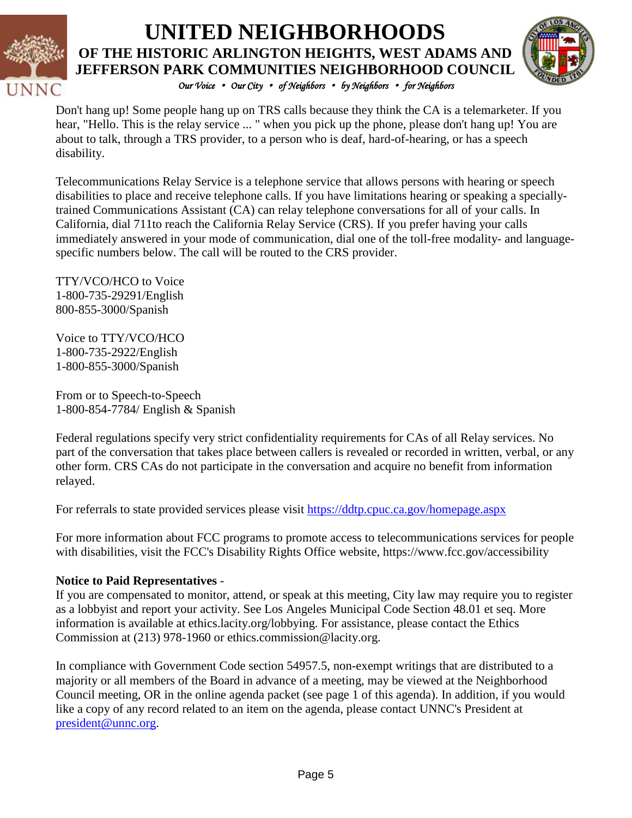

### *Our Voice* • *Our City* • *of Neighbors* • *by Neighbors* • *for Neighbors*  **UNITED NEIGHBORHOODS OF THE HISTORIC ARLINGTON HEIGHTS, WEST ADAMS AND JEFFERSON PARK COMMUNITIES NEIGHBORHOOD COUNCIL**



Don't hang up! Some people hang up on TRS calls because they think the CA is a telemarketer. If you hear, "Hello. This is the relay service ... " when you pick up the phone, please don't hang up! You are about to talk, through a TRS provider, to a person who is deaf, hard-of-hearing, or has a speech disability.

Telecommunications Relay Service is a telephone service that allows persons with hearing or speech disabilities to place and receive telephone calls. If you have limitations hearing or speaking a speciallytrained Communications Assistant (CA) can relay telephone conversations for all of your calls. In California, dial 711to reach the California Relay Service (CRS). If you prefer having your calls immediately answered in your mode of communication, dial one of the toll-free modality- and languagespecific numbers below. The call will be routed to the CRS provider.

TTY/VCO/HCO to Voice 1-800-735-29291/English 800-855-3000/Spanish

Voice to TTY/VCO/HCO 1-800-735-2922/English 1-800-855-3000/Spanish

From or to Speech-to-Speech 1-800-854-7784/ English & Spanish

Federal regulations specify very strict confidentiality requirements for CAs of all Relay services. No part of the conversation that takes place between callers is revealed or recorded in written, verbal, or any other form. CRS CAs do not participate in the conversation and acquire no benefit from information relayed.

For referrals to state provided services please visit<https://ddtp.cpuc.ca.gov/homepage.aspx>

For more information about FCC programs to promote access to telecommunications services for people with disabilities, visit the FCC's Disability Rights Office website,<https://www.fcc.gov/accessibility>

### **Notice to Paid Representatives** -

If you are compensated to monitor, attend, or speak at this meeting, City law may require you to register as a lobbyist and report your activity. See Los Angeles Municipal Code Section 48.01 et seq. More information is available at ethics.lacity.org/lobbying. For assistance, please contact the Ethics Commission at (213) 978-1960 or ethics.commission@lacity.org.

In compliance with Government Code section 54957.5, non-exempt writings that are distributed to a majority or all members of the Board in advance of a meeting, may be viewed at the Neighborhood Council meeting, OR in the online agenda packet (see page 1 of this agenda). In addition, if you would like a copy of any record related to an item on the agenda, please contact UNNC's President at [president@unnc.org.](mailto:president@unnc.org)